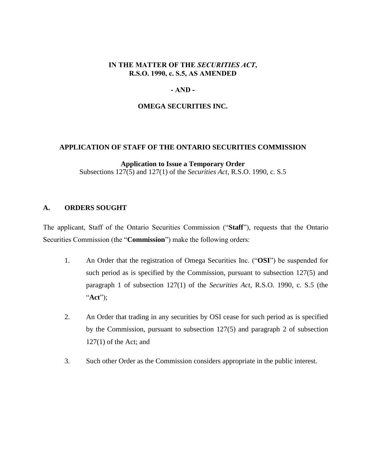## **IN THE MATTER OF THE** *SECURITIES ACT***, R.S.O. 1990, c. S.5, AS AMENDED**

## **- AND -**

## **OMEGA SECURITIES INC.**

#### **APPLICATION OF STAFF OF THE ONTARIO SECURITIES COMMISSION**

**Application to Issue a Temporary Order** Subsections 127(5) and 127(1) of the *Securities Act*, R.S.O. 1990, c. S.5

## **A. ORDERS SOUGHT**

The applicant, Staff of the Ontario Securities Commission ("**Staff**"), requests that the Ontario Securities Commission (the "**Commission**") make the following orders:

- 1. An Order that the registration of Omega Securities Inc. ("**OSI**") be suspended for such period as is specified by the Commission, pursuant to subsection 127(5) and paragraph 1 of subsection 127(1) of the *Securities Act*, R.S.O. 1990, c. S.5 (the "**Act**");
- 2. An Order that trading in any securities by OSI cease for such period as is specified by the Commission, pursuant to subsection 127(5) and paragraph 2 of subsection 127(1) of the Act; and
- 3. Such other Order as the Commission considers appropriate in the public interest.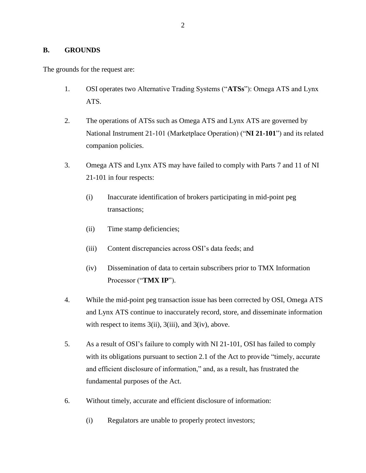## **B. GROUNDS**

The grounds for the request are:

- 1. OSI operates two Alternative Trading Systems ("**ATSs**"): Omega ATS and Lynx ATS.
- 2. The operations of ATSs such as Omega ATS and Lynx ATS are governed by National Instrument 21-101 (Marketplace Operation) ("**NI 21-101**") and its related companion policies.
- 3. Omega ATS and Lynx ATS may have failed to comply with Parts 7 and 11 of NI 21-101 in four respects:
	- (i) Inaccurate identification of brokers participating in mid-point peg transactions;
	- (ii) Time stamp deficiencies;
	- (iii) Content discrepancies across OSI's data feeds; and
	- (iv) Dissemination of data to certain subscribers prior to TMX Information Processor ("**TMX IP**").
- 4. While the mid-point peg transaction issue has been corrected by OSI, Omega ATS and Lynx ATS continue to inaccurately record, store, and disseminate information with respect to items  $3(ii)$ ,  $3(iii)$ , and  $3(iv)$ , above.
- 5. As a result of OSI's failure to comply with NI 21-101, OSI has failed to comply with its obligations pursuant to section 2.1 of the Act to provide "timely, accurate" and efficient disclosure of information," and, as a result, has frustrated the fundamental purposes of the Act.
- 6. Without timely, accurate and efficient disclosure of information:
	- (i) Regulators are unable to properly protect investors;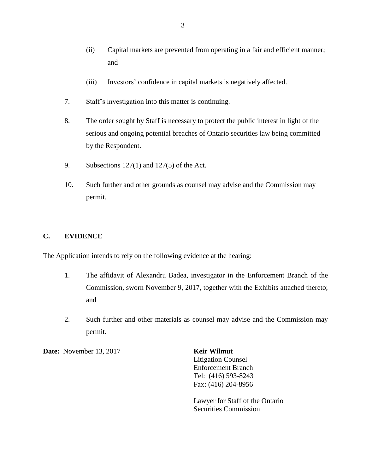- (ii) Capital markets are prevented from operating in a fair and efficient manner; and
- (iii) Investors' confidence in capital markets is negatively affected.
- 7. Staff's investigation into this matter is continuing.
- 8. The order sought by Staff is necessary to protect the public interest in light of the serious and ongoing potential breaches of Ontario securities law being committed by the Respondent.
- 9. Subsections  $127(1)$  and  $127(5)$  of the Act.
- 10. Such further and other grounds as counsel may advise and the Commission may permit.

## **C. EVIDENCE**

The Application intends to rely on the following evidence at the hearing:

- 1. The affidavit of Alexandru Badea, investigator in the Enforcement Branch of the Commission, sworn November 9, 2017, together with the Exhibits attached thereto; and
- 2. Such further and other materials as counsel may advise and the Commission may permit.

**Date:** November 13, 2017 **Keir Wilmut** 

Litigation Counsel Enforcement Branch Tel: (416) 593-8243 Fax: (416) 204-8956

Lawyer for Staff of the Ontario Securities Commission